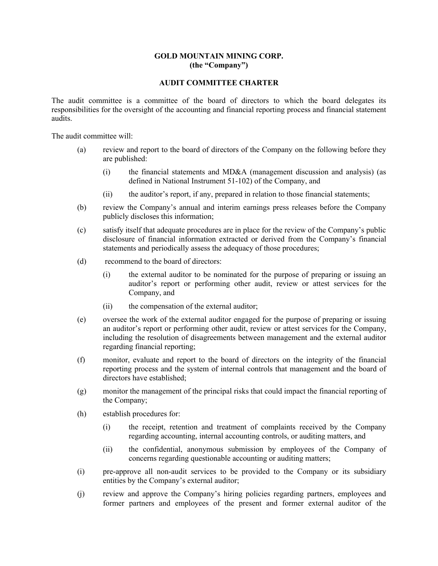### **GOLD MOUNTAIN MINING CORP. (the "Company")**

### **AUDIT COMMITTEE CHARTER**

The audit committee is a committee of the board of directors to which the board delegates its responsibilities for the oversight of the accounting and financial reporting process and financial statement audits.

The audit committee will:

- (a) review and report to the board of directors of the Company on the following before they are published:
	- (i) the financial statements and MD&A (management discussion and analysis) (as defined in National Instrument 51-102) of the Company, and
	- (ii) the auditor's report, if any, prepared in relation to those financial statements;
- (b) review the Company's annual and interim earnings press releases before the Company publicly discloses this information;
- (c) satisfy itself that adequate procedures are in place for the review of the Company's public disclosure of financial information extracted or derived from the Company's financial statements and periodically assess the adequacy of those procedures;
- (d) recommend to the board of directors:
	- (i) the external auditor to be nominated for the purpose of preparing or issuing an auditor's report or performing other audit, review or attest services for the Company, and
	- (ii) the compensation of the external auditor;
- (e) oversee the work of the external auditor engaged for the purpose of preparing or issuing an auditor's report or performing other audit, review or attest services for the Company, including the resolution of disagreements between management and the external auditor regarding financial reporting;
- (f) monitor, evaluate and report to the board of directors on the integrity of the financial reporting process and the system of internal controls that management and the board of directors have established;
- (g) monitor the management of the principal risks that could impact the financial reporting of the Company;
- (h) establish procedures for:
	- (i) the receipt, retention and treatment of complaints received by the Company regarding accounting, internal accounting controls, or auditing matters, and
	- (ii) the confidential, anonymous submission by employees of the Company of concerns regarding questionable accounting or auditing matters;
- (i) pre-approve all non-audit services to be provided to the Company or its subsidiary entities by the Company's external auditor;
- (j) review and approve the Company's hiring policies regarding partners, employees and former partners and employees of the present and former external auditor of the